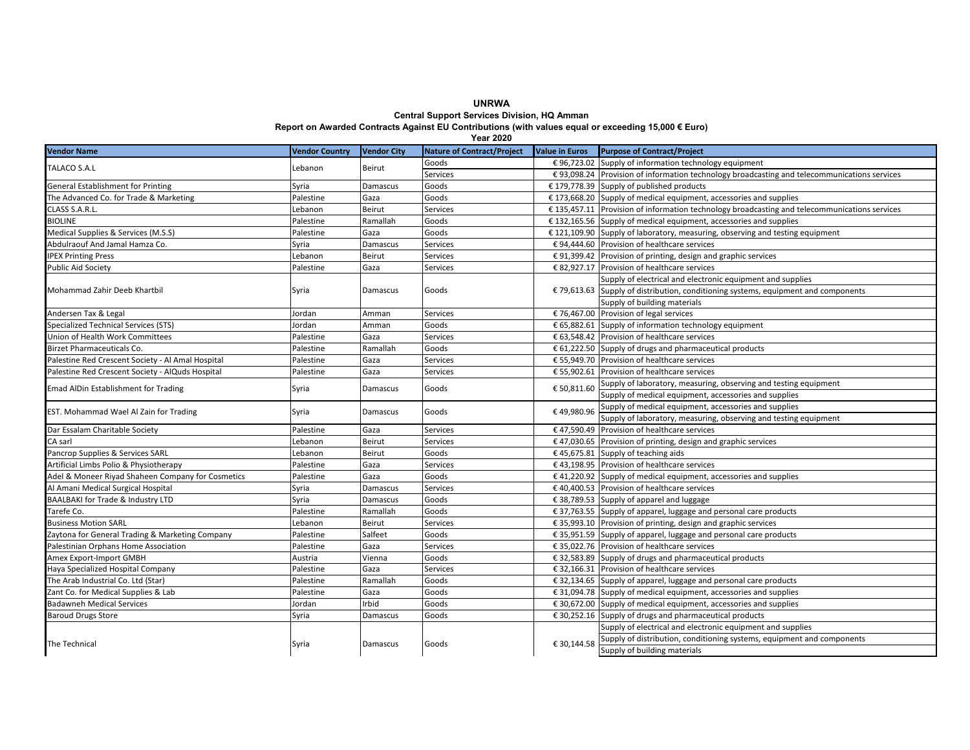**UNRWA Central Support Services Division, HQ Amman**

**Report on Awarded Contracts Against EU Contributions (with values equal or exceeding 15,000 € Euro)**

| <b>Year 2020</b>                                  |                       |                    |                                   |                       |                                                                                               |  |  |  |  |
|---------------------------------------------------|-----------------------|--------------------|-----------------------------------|-----------------------|-----------------------------------------------------------------------------------------------|--|--|--|--|
| <b>Vendor Name</b>                                | <b>Vendor Country</b> | <b>Vendor City</b> | <b>Nature of Contract/Project</b> | <b>Value in Euros</b> | <b>Purpose of Contract/Project</b>                                                            |  |  |  |  |
| TALACO S.A.L                                      | Lebanon               | Beirut             | Goods                             |                       | € 96,723.02 Supply of information technology equipment                                        |  |  |  |  |
|                                                   |                       |                    | Services                          |                       | € 93,098.24 Provision of information technology broadcasting and telecommunications services  |  |  |  |  |
| General Establishment for Printing                | Syria                 | Damascus           | Goods                             |                       | € 179,778.39 Supply of published products                                                     |  |  |  |  |
| The Advanced Co. for Trade & Marketing            | Palestine             | Gaza               | Goods                             |                       | $£ 173,668.20$ Supply of medical equipment, accessories and supplies                          |  |  |  |  |
| CLASS S.A.R.L.                                    | Lebanon               | Beirut             | Services                          |                       | € 135,457.11 Provision of information technology broadcasting and telecommunications services |  |  |  |  |
| BIOLINE                                           | Palestine             | Ramallah           | Goods                             |                       | $£$ 132,165.56 Supply of medical equipment, accessories and supplies                          |  |  |  |  |
| Medical Supplies & Services (M.S.S)               | Palestine             | Gaza               | Goods                             |                       | € 121,109.90 Supply of laboratory, measuring, observing and testing equipment                 |  |  |  |  |
| Abdulraouf And Jamal Hamza Co.                    | Syria                 | Damascus           | Services                          |                       | € 94,444.60 Provision of healthcare services                                                  |  |  |  |  |
| <b>IPEX Printing Press</b>                        | Lebanon               | Beirut             | Services                          |                       | € 91,399.42 Provision of printing, design and graphic services                                |  |  |  |  |
| <b>Public Aid Society</b>                         | Palestine             | Gaza               | Services                          |                       | € 82,927.17 Provision of healthcare services                                                  |  |  |  |  |
|                                                   | Syria                 | Damascus           | Goods                             |                       | Supply of electrical and electronic equipment and supplies                                    |  |  |  |  |
| Mohammad Zahir Deeb Khartbil                      |                       |                    |                                   |                       | € 79,613.63 Supply of distribution, conditioning systems, equipment and components            |  |  |  |  |
|                                                   |                       |                    |                                   |                       | Supply of building materials                                                                  |  |  |  |  |
| Andersen Tax & Legal                              | Jordan                | Amman              | Services                          |                       | € 76,467.00 Provision of legal services                                                       |  |  |  |  |
| Specialized Technical Services (STS)              | Iordan                | Amman              | Goods                             |                       | € 65,882.61 Supply of information technology equipment                                        |  |  |  |  |
| <b>Union of Health Work Committees</b>            | Palestine             | Gaza               | <b>Services</b>                   |                       | € 63,548.42 Provision of healthcare services                                                  |  |  |  |  |
| <b>Birzet Pharmaceuticals Co.</b>                 | Palestine             | Ramallah           | Goods                             |                       | € 61,222.50 Supply of drugs and pharmaceutical products                                       |  |  |  |  |
| Palestine Red Crescent Society - Al Amal Hospital | Palestine             | Gaza               | Services                          |                       | € 55,949.70 Provision of healthcare services                                                  |  |  |  |  |
| Palestine Red Crescent Society - AlQuds Hospital  | Palestine             | Gaza               | Services                          |                       | € 55,902.61 Provision of healthcare services                                                  |  |  |  |  |
| <b>Emad AlDin Establishment for Trading</b>       | Syria                 | Damascus           | Goods                             | € 50,811.60           | Supply of laboratory, measuring, observing and testing equipment                              |  |  |  |  |
|                                                   |                       |                    |                                   |                       | Supply of medical equipment, accessories and supplies                                         |  |  |  |  |
| EST. Mohammad Wael Al Zain for Trading            | Syria                 | Damascus           | Goods                             | €49,980.96            | Supply of medical equipment, accessories and supplies                                         |  |  |  |  |
|                                                   |                       |                    |                                   |                       | Supply of laboratory, measuring, observing and testing equipment                              |  |  |  |  |
| Dar Essalam Charitable Society                    | Palestine             | Gaza               | Services                          |                       | € 47,590.49 Provision of healthcare services                                                  |  |  |  |  |
| CA sarl                                           | Lebanon               | Beirut             | Services                          |                       | € 47,030.65 Provision of printing, design and graphic services                                |  |  |  |  |
| Pancrop Supplies & Services SARL                  | Lebanon               | Beirut             | Goods                             |                       | € 45,675.81 Supply of teaching aids                                                           |  |  |  |  |
| Artificial Limbs Polio & Physiotherapy            | Palestine             | Gaza               | Services                          |                       | € 43,198.95 Provision of healthcare services                                                  |  |  |  |  |
| Adel & Moneer Riyad Shaheen Company for Cosmetics | Palestine             | Gaza               | Goods                             |                       | € 41,220.92 Supply of medical equipment, accessories and supplies                             |  |  |  |  |
| Al Amani Medical Surgical Hospital                | Syria                 | Damascus           | Services                          |                       | €40,400.53 Provision of healthcare services                                                   |  |  |  |  |
| <b>BAALBAKI for Trade &amp; Industry LTD</b>      | Syria                 | Damascus           | Goods                             |                       | € 38,789.53 Supply of apparel and luggage                                                     |  |  |  |  |
| Tarefe Co.                                        | Palestine             | Ramallah           | Goods                             |                       | € 37,763.55 Supply of apparel, luggage and personal care products                             |  |  |  |  |
| <b>Business Motion SARL</b>                       | Lebanon               | Beirut             | <b>Services</b>                   |                       | € 35,993.10 Provision of printing, design and graphic services                                |  |  |  |  |
| Zaytona for General Trading & Marketing Company   | Palestine             | Salfeet            | Goods                             |                       | € 35,951.59 Supply of apparel, luggage and personal care products                             |  |  |  |  |
| Palestinian Orphans Home Association              | Palestine             | Gaza               | Services                          |                       | € 35,022.76 Provision of healthcare services                                                  |  |  |  |  |
| Amex Export-Import GMBH                           | Austria               | Vienna             | Goods                             |                       | € 32,583.89 Supply of drugs and pharmaceutical products                                       |  |  |  |  |
| Haya Specialized Hospital Company                 | Palestine             | Gaza               | Services                          |                       | € 32,166.31 Provision of healthcare services                                                  |  |  |  |  |
| The Arab Industrial Co. Ltd (Star)                | Palestine             | Ramallah           | Goods                             |                       | € 32,134.65 Supply of apparel, luggage and personal care products                             |  |  |  |  |
| Zant Co. for Medical Supplies & Lab               | Palestine             | Gaza               | Goods                             |                       | $\epsilon$ 31,094.78 Supply of medical equipment, accessories and supplies                    |  |  |  |  |
| <b>Badawneh Medical Services</b>                  | Jordan                | Irbid              | Goods                             |                       | $\epsilon$ 30,672.00 Supply of medical equipment, accessories and supplies                    |  |  |  |  |
| <b>Baroud Drugs Store</b>                         | Syria                 | Damascus           | Goods                             | € 30,252.16           | Supply of drugs and pharmaceutical products                                                   |  |  |  |  |
| The Technical                                     | Syria                 | Damascus           | Goods                             | € 30,144.58           | Supply of electrical and electronic equipment and supplies                                    |  |  |  |  |
|                                                   |                       |                    |                                   |                       | Supply of distribution, conditioning systems, equipment and components                        |  |  |  |  |
|                                                   |                       |                    |                                   |                       | Supply of building materials                                                                  |  |  |  |  |
|                                                   |                       |                    |                                   |                       |                                                                                               |  |  |  |  |